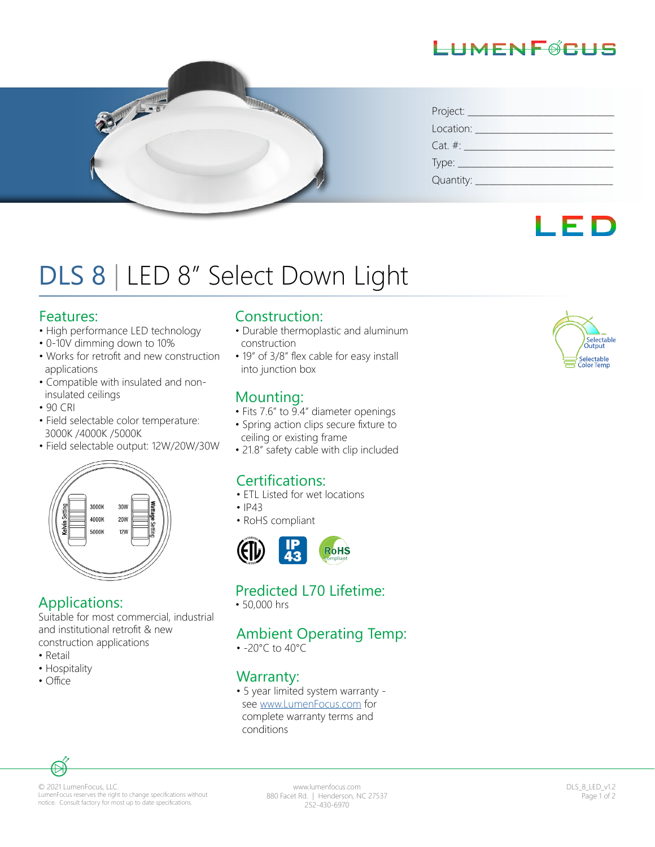# LHMENFØCHS



| Project: __                    |  |  |  |
|--------------------------------|--|--|--|
| Location:                      |  |  |  |
| $Cat. \#:$                     |  |  |  |
| Type: $\overline{\phantom{a}}$ |  |  |  |
| Quantity:                      |  |  |  |



# DLS 8 | LED 8" Select Down Light

#### Features:

- High performance LED technology
- 0-10V dimming down to 10%
- Works for retrofit and new construction applications
- Compatible with insulated and non insulated ceilings
- 90 CRI
- Field selectable color temperature: 3000K /4000K /5000K
- Field selectable output: 12W/20W/30W



## Applications:

Suitable for most commercial, industrial and institutional retrofit & new construction applications

- Retail
- Hospitality
- Office

#### Construction:

- Durable thermoplastic and aluminum construction
- 19" of 3/8" flex cable for easy install into junction box

## Mounting:

- Fits 7.6" to 9.4" diameter openings
- Spring action clips secure fixture to ceiling or existing frame
- 21.8" safety cable with clip included

## Certifications:

- ETL Listed for wet locations
- $•$   $|P43$
- RoHS compliant



## Predicted L70 Lifetime:

• 50,000 hrs

## Ambient Operating Temp:

• -20°C to 40°C

## Warranty:

• 5 year limited system warranty see www.LumenFocus.com for complete warranty terms and conditions



© 2021 LumenFocus, LLC. LumenFocus reserves the right to change specifications without notice. Consult factory for most up to date specifications.

www.lumenfocus.com 880 Facet Rd. | Henderson, NC 27537 252-430-6970

DLS\_8\_LED\_v1.2 Page 1 of 2